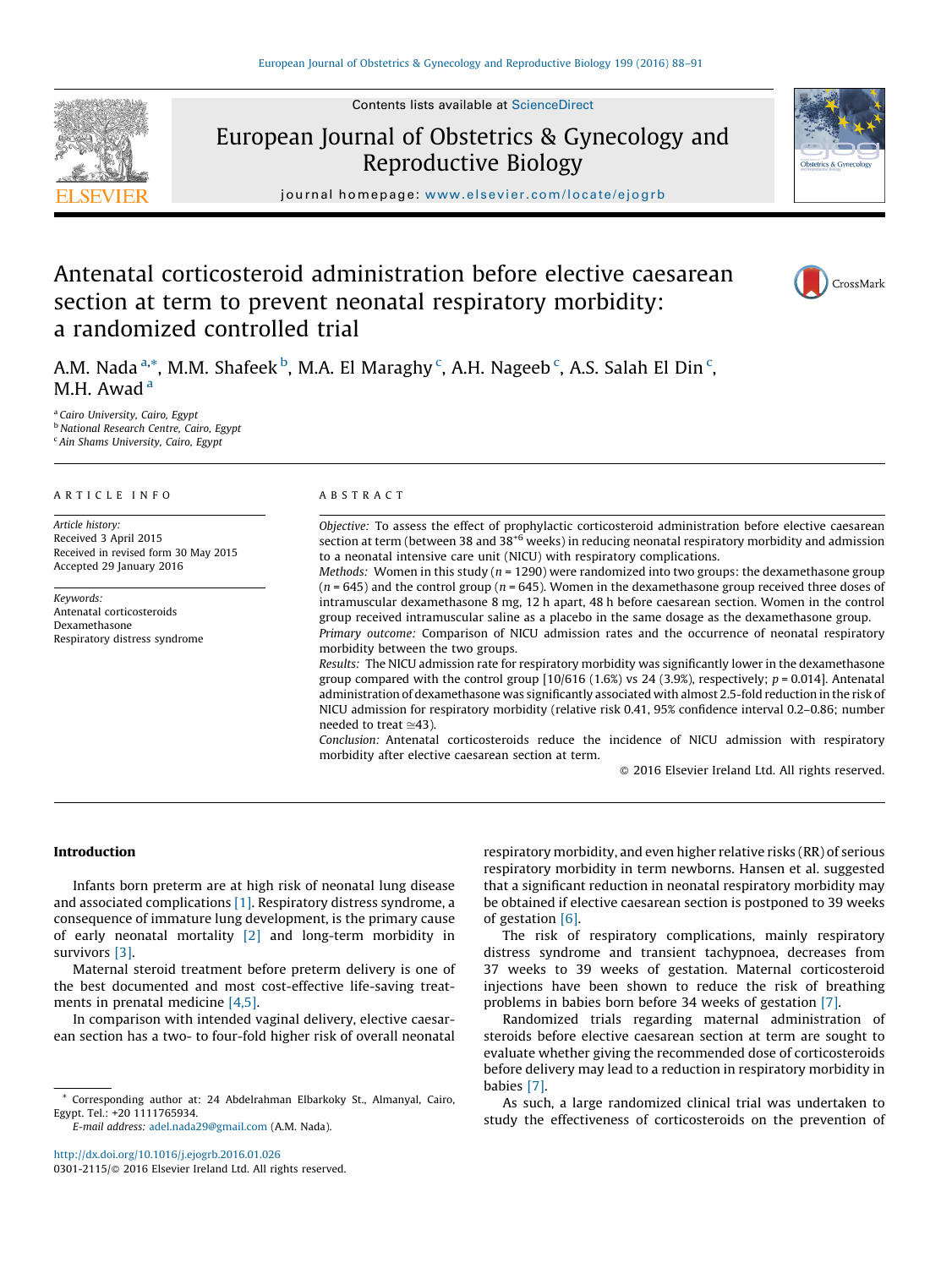Contents lists available at [ScienceDirect](http://www.sciencedirect.com/science/journal/03012115)



European Journal of Obstetrics & Gynecology and Reproductive Biology



journal homepage: <www.elsevier.com/locate/ejogrb>

# Antenatal corticosteroid administration before elective caesarean section at term to prevent neonatal respiratory morbidity: a randomized controlled trial

CrossMark

A.M. Nada  $\mathrm{^{a,*}}$ , M.M. Shafeek  $\mathrm{^{b}}$ , M.A. El Maraghy  $\mathrm{^{c}}$ , A.H. Nageeb  $\mathrm{^{c}}$ , A.S. Salah El Din  $\mathrm{^{c}}$ , M.H. Awad<sup>a</sup>

<sup>a</sup> Cairo University, Cairo, Egypt **b** National Research Centre, Cairo, Egypt <sup>c</sup> Ain Shams University, Cairo, Egypt

# A R T I C L E I N F O

Article history: Received 3 April 2015 Received in revised form 30 May 2015 Accepted 29 January 2016

Keywords: Antenatal corticosteroids Dexamethasone Respiratory distress syndrome

#### A B S T R A C T

Objective: To assess the effect of prophylactic corticosteroid administration before elective caesarean section at term (between 38 and 38<sup>+6</sup> weeks) in reducing neonatal respiratory morbidity and admission to a neonatal intensive care unit (NICU) with respiratory complications. *Methods:* Women in this study ( $n = 1290$ ) were randomized into two groups: the dexamethasone group  $(n = 645)$  and the control group  $(n = 645)$ . Women in the dexamethasone group received three doses of

intramuscular dexamethasone 8 mg, 12 h apart, 48 h before caesarean section. Women in the control group received intramuscular saline as a placebo in the same dosage as the dexamethasone group. Primary outcome: Comparison of NICU admission rates and the occurrence of neonatal respiratory

morbidity between the two groups. Results: The NICU admission rate for respiratory morbidity was significantly lower in the dexamethasone group compared with the control group  $[10/616 (1.6%)$  vs 24 (3.9%), respectively;  $p = 0.014$ ]. Antenatal administration of dexamethasone was significantly associated with almost 2.5-fold reduction in the risk of NICU admission for respiratory morbidity (relative risk 0.41, 95% confidence interval 0.2–0.86; number needed to treat  $\simeq$ 43).

Conclusion: Antenatal corticosteroids reduce the incidence of NICU admission with respiratory morbidity after elective caesarean section at term.

 $\odot$  2016 Elsevier Ireland Ltd. All rights reserved.

# Introduction

Infants born preterm are at high risk of neonatal lung disease and associated complications [\[1\]](#page-3-0). Respiratory distress syndrome, a consequence of immature lung development, is the primary cause of early neonatal mortality [\[2\]](#page-3-0) and long-term morbidity in survivors [\[3\].](#page-3-0)

Maternal steroid treatment before preterm delivery is one of the best documented and most cost-effective life-saving treatments in prenatal medicine [\[4,5\].](#page-3-0)

In comparison with intended vaginal delivery, elective caesarean section has a two- to four-fold higher risk of overall neonatal

E-mail address: [adel.nada29@gmail.com](mailto:adel.nada29@gmail.com) (A.M. Nada).

<http://dx.doi.org/10.1016/j.ejogrb.2016.01.026> 0301-2115/© 2016 Elsevier Ireland Ltd. All rights reserved. respiratory morbidity, and even higher relative risks (RR) of serious respiratory morbidity in term newborns. Hansen et al. suggested that a significant reduction in neonatal respiratory morbidity may be obtained if elective caesarean section is postponed to 39 weeks of gestation [\[6\].](#page-3-0)

The risk of respiratory complications, mainly respiratory distress syndrome and transient tachypnoea, decreases from 37 weeks to 39 weeks of gestation. Maternal corticosteroid injections have been shown to reduce the risk of breathing problems in babies born before 34 weeks of gestation [\[7\].](#page-3-0)

Randomized trials regarding maternal administration of steroids before elective caesarean section at term are sought to evaluate whether giving the recommended dose of corticosteroids before delivery may lead to a reduction in respiratory morbidity in babies [\[7\].](#page-3-0)

As such, a large randomized clinical trial was undertaken to study the effectiveness of corticosteroids on the prevention of

<sup>\*</sup> Corresponding author at: 24 Abdelrahman Elbarkoky St., Almanyal, Cairo, Egypt. Tel.: +20 1111765934.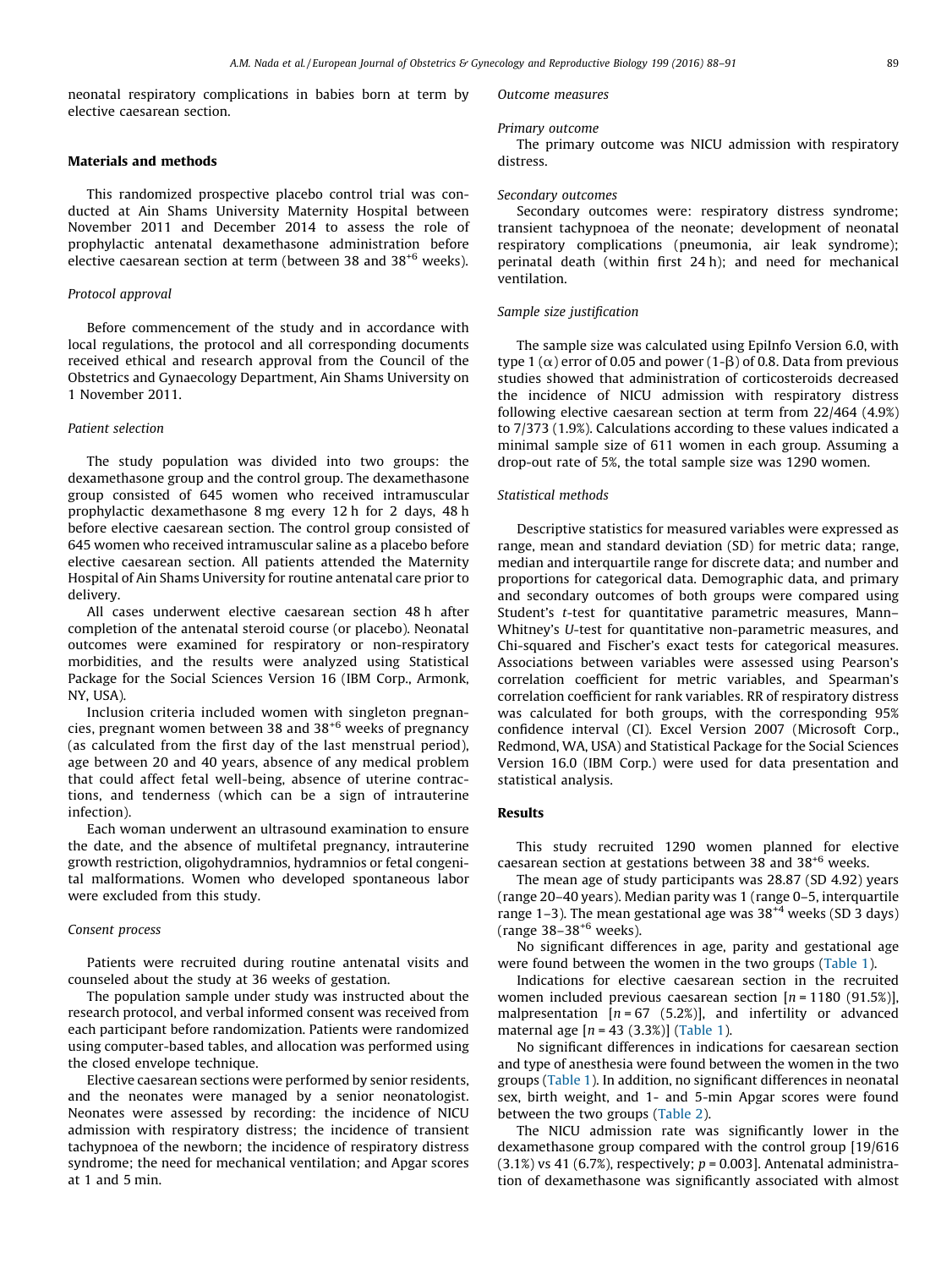neonatal respiratory complications in babies born at term by elective caesarean section.

## Materials and methods

This randomized prospective placebo control trial was conducted at Ain Shams University Maternity Hospital between November 2011 and December 2014 to assess the role of prophylactic antenatal dexamethasone administration before elective caesarean section at term (between 38 and 38<sup>+6</sup> weeks).

## Protocol approval

Before commencement of the study and in accordance with local regulations, the protocol and all corresponding documents received ethical and research approval from the Council of the Obstetrics and Gynaecology Department, Ain Shams University on 1 November 2011.

# Patient selection

The study population was divided into two groups: the dexamethasone group and the control group. The dexamethasone group consisted of 645 women who received intramuscular prophylactic dexamethasone 8 mg every 12 h for 2 days, 48 h before elective caesarean section. The control group consisted of 645 women who received intramuscular saline as a placebo before elective caesarean section. All patients attended the Maternity Hospital of Ain Shams University for routine antenatal care prior to delivery.

All cases underwent elective caesarean section 48 h after completion of the antenatal steroid course (or placebo). Neonatal outcomes were examined for respiratory or non-respiratory morbidities, and the results were analyzed using Statistical Package for the Social Sciences Version 16 (IBM Corp., Armonk, NY, USA).

Inclusion criteria included women with singleton pregnancies, pregnant women between 38 and 38+6 weeks of pregnancy (as calculated from the first day of the last menstrual period), age between 20 and 40 years, absence of any medical problem that could affect fetal well-being, absence of uterine contractions, and tenderness (which can be a sign of intrauterine infection).

Each woman underwent an ultrasound examination to ensure the date, and the absence of multifetal pregnancy, intrauterine growth restriction, oligohydramnios, hydramnios or fetal congenital malformations. Women who developed spontaneous labor were excluded from this study.

# Consent process

Patients were recruited during routine antenatal visits and counseled about the study at 36 weeks of gestation.

The population sample under study was instructed about the research protocol, and verbal informed consent was received from each participant before randomization. Patients were randomized using computer-based tables, and allocation was performed using the closed envelope technique.

Elective caesarean sections were performed by senior residents, and the neonates were managed by a senior neonatologist. Neonates were assessed by recording: the incidence of NICU admission with respiratory distress; the incidence of transient tachypnoea of the newborn; the incidence of respiratory distress syndrome; the need for mechanical ventilation; and Apgar scores at 1 and 5 min.

#### Outcome measures

#### Primary outcome

The primary outcome was NICU admission with respiratory distress.

# Secondary outcomes

Secondary outcomes were: respiratory distress syndrome; transient tachypnoea of the neonate; development of neonatal respiratory complications (pneumonia, air leak syndrome); perinatal death (within first 24 h); and need for mechanical ventilation.

## Sample size justification

The sample size was calculated using EpiInfo Version 6.0, with type 1 ( $\alpha$ ) error of 0.05 and power (1- $\beta$ ) of 0.8. Data from previous studies showed that administration of corticosteroids decreased the incidence of NICU admission with respiratory distress following elective caesarean section at term from 22/464 (4.9%) to 7/373 (1.9%). Calculations according to these values indicated a minimal sample size of 611 women in each group. Assuming a drop-out rate of 5%, the total sample size was 1290 women.

#### Statistical methods

Descriptive statistics for measured variables were expressed as range, mean and standard deviation (SD) for metric data; range, median and interquartile range for discrete data; and number and proportions for categorical data. Demographic data, and primary and secondary outcomes of both groups were compared using Student's t-test for quantitative parametric measures, Mann– Whitney's U-test for quantitative non-parametric measures, and Chi-squared and Fischer's exact tests for categorical measures. Associations between variables were assessed using Pearson's correlation coefficient for metric variables, and Spearman's correlation coefficient for rank variables. RR of respiratory distress was calculated for both groups, with the corresponding 95% confidence interval (CI). Excel Version 2007 (Microsoft Corp., Redmond, WA, USA) and Statistical Package for the Social Sciences Version 16.0 (IBM Corp.) were used for data presentation and statistical analysis.

#### Results

This study recruited 1290 women planned for elective caesarean section at gestations between 38 and 38+6 weeks.

The mean age of study participants was 28.87 (SD 4.92) years (range 20–40 years). Median parity was 1 (range 0–5, interquartile range 1–3). The mean gestational age was  $38^{+4}$  weeks (SD 3 days) (range  $38 - 38^{+6}$  weeks).

No significant differences in age, parity and gestational age were found between the women in the two groups ([Table](#page-2-0) 1).

Indications for elective caesarean section in the recruited women included previous caesarean section  $[n = 1180 (91.5\%)]$ , malpresentation  $[n = 67 (5.2%)]$ , and infertility or advanced maternal age  $[n = 43 (3.3%)]$  [\(Table](#page-2-0) 1).

No significant differences in indications for caesarean section and type of anesthesia were found between the women in the two groups ([Table](#page-2-0) 1). In addition, no significant differences in neonatal sex, birth weight, and 1- and 5-min Apgar scores were found between the two groups ([Table](#page-2-0) 2).

The NICU admission rate was significantly lower in the dexamethasone group compared with the control group [19/616  $(3.1%)$  vs 41 (6.7%), respectively;  $p = 0.003$ ]. Antenatal administration of dexamethasone was significantly associated with almost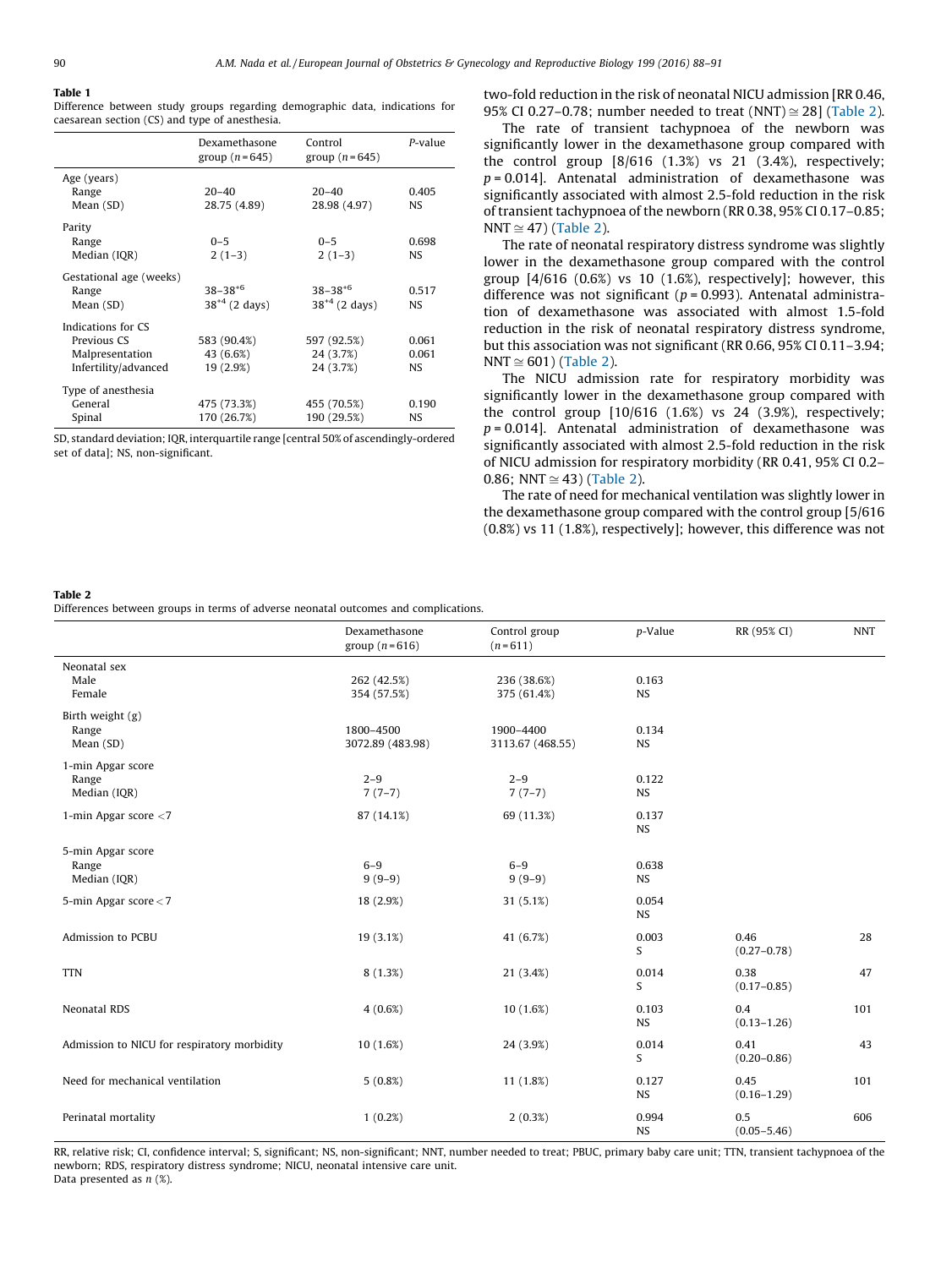#### <span id="page-2-0"></span>Table 1

Difference between study groups regarding demographic data, indications for caesarean section (CS) and type of anesthesia.

|                         | Dexamethasone<br>group $(n=645)$ | Control<br>group $(n=645)$ | P-value |
|-------------------------|----------------------------------|----------------------------|---------|
| Age (years)             |                                  |                            |         |
| Range                   | $20 - 40$                        | $20 - 40$                  | 0.405   |
| Mean (SD)               | 28.75 (4.89)                     | 28.98 (4.97)               | NS      |
| Parity                  |                                  |                            |         |
| Range                   | $0 - 5$                          | $0 - 5$                    | 0.698   |
| Median (IQR)            | $2(1-3)$                         | $2(1-3)$                   | NS      |
| Gestational age (weeks) |                                  |                            |         |
| Range                   | $38 - 38 + 6$                    | $38 - 38 + 6$              | 0.517   |
| Mean (SD)               | $38^{+4}$ (2 days)               | $38^{+4}$ (2 days)         | NS.     |
| Indications for CS      |                                  |                            |         |
| Previous CS             | 583 (90.4%)                      | 597 (92.5%)                | 0.061   |
| Malpresentation         | 43 (6.6%)                        | 24 (3.7%)                  | 0.061   |
| Infertility/advanced    | 19 (2.9%)                        | 24 (3.7%)                  | NS.     |
| Type of anesthesia      |                                  |                            |         |
| General                 | 475 (73.3%)                      | 455 (70.5%)                | 0.190   |
| Spinal                  | 170 (26.7%)                      | 190 (29.5%)                | NS.     |

SD, standard deviation; IQR, interquartile range [central 50% of ascendingly-ordered set of data]; NS, non-significant.

two-fold reduction in the risk of neonatal NICU admission [RR 0.46, 95% CI 0.27–0.78; number needed to treat (NNT)  $\approx$  28] (Table 2).

The rate of transient tachypnoea of the newborn was significantly lower in the dexamethasone group compared with the control group [8/616 (1.3%) vs 21 (3.4%), respectively;  $p = 0.014$ ]. Antenatal administration of dexamethasone was significantly associated with almost 2.5-fold reduction in the risk of transient tachypnoea of the newborn (RR 0.38, 95% CI 0.17–0.85; NNT  $\cong$  47) (Table 2).

The rate of neonatal respiratory distress syndrome was slightly lower in the dexamethasone group compared with the control group  $[4/616 (0.6%)$  vs 10 (1.6%), respectively]; however, this difference was not significant ( $p = 0.993$ ). Antenatal administration of dexamethasone was associated with almost 1.5-fold reduction in the risk of neonatal respiratory distress syndrome, but this association was not significant (RR 0.66, 95% CI 0.11–3.94; NNT  $\cong$  601) (Table 2).

The NICU admission rate for respiratory morbidity was significantly lower in the dexamethasone group compared with the control group [10/616 (1.6%) vs 24 (3.9%), respectively;  $p = 0.014$ ]. Antenatal administration of dexamethasone was significantly associated with almost 2.5-fold reduction in the risk of NICU admission for respiratory morbidity (RR 0.41, 95% CI 0.2– 0.86; NNT  $\cong$  43) (Table 2).

The rate of need for mechanical ventilation was slightly lower in the dexamethasone group compared with the control group [5/616 (0.8%) vs 11 (1.8%), respectively]; however, this difference was not

#### Table 2

Differences between groups in terms of adverse neonatal outcomes and complications.

|                                             | Dexamethasone<br>group $(n=616)$ | Control group<br>$(n=611)$    | p-Value            | RR (95% CI)             | <b>NNT</b> |
|---------------------------------------------|----------------------------------|-------------------------------|--------------------|-------------------------|------------|
| Neonatal sex<br>Male<br>Female              | 262 (42.5%)<br>354 (57.5%)       | 236 (38.6%)<br>375 (61.4%)    | 0.163<br>NS        |                         |            |
| Birth weight (g)<br>Range<br>Mean (SD)      | 1800-4500<br>3072.89 (483.98)    | 1900-4400<br>3113.67 (468.55) | 0.134<br><b>NS</b> |                         |            |
| 1-min Apgar score<br>Range<br>Median (IQR)  | $2 - 9$<br>$7(7-7)$              | $2 - 9$<br>$7(7-7)$           | 0.122<br><b>NS</b> |                         |            |
| 1-min Apgar score $<$ 7                     | 87 (14.1%)                       | 69 (11.3%)                    | 0.137<br><b>NS</b> |                         |            |
| 5-min Apgar score<br>Range<br>Median (IQR)  | $6 - 9$<br>$9(9-9)$              | $6 - 9$<br>$9(9-9)$           | 0.638<br><b>NS</b> |                         |            |
| 5-min Apgar score < 7                       | 18 (2.9%)                        | 31 (5.1%)                     | 0.054<br><b>NS</b> |                         |            |
| Admission to PCBU                           | 19 (3.1%)                        | 41 (6.7%)                     | 0.003<br>S         | 0.46<br>$(0.27 - 0.78)$ | 28         |
| <b>TTN</b>                                  | 8(1.3%)                          | 21 (3.4%)                     | 0.014<br>S         | 0.38<br>$(0.17 - 0.85)$ | 47         |
| Neonatal RDS                                | 4(0.6%)                          | 10(1.6%)                      | 0.103<br><b>NS</b> | 0.4<br>$(0.13 - 1.26)$  | 101        |
| Admission to NICU for respiratory morbidity | 10 (1.6%)                        | 24 (3.9%)                     | 0.014<br>S         | 0.41<br>$(0.20 - 0.86)$ | 43         |
| Need for mechanical ventilation             | $5(0.8\%)$                       | 11 (1.8%)                     | 0.127<br><b>NS</b> | 0.45<br>$(0.16 - 1.29)$ | 101        |
| Perinatal mortality                         | 1(0.2%)                          | $2(0.3\%)$                    | 0.994<br><b>NS</b> | 0.5<br>$(0.05 - 5.46)$  | 606        |

RR, relative risk; CI, confidence interval; S, significant; NS, non-significant; NNT, number needed to treat; PBUC, primary baby care unit; TTN, transient tachypnoea of the newborn; RDS, respiratory distress syndrome; NICU, neonatal intensive care unit. Data presented as  $n$  (%).